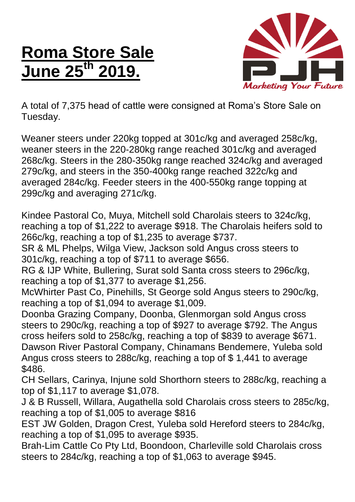## **Roma Store Sale June 25th 2019.**



A total of 7,375 head of cattle were consigned at Roma's Store Sale on Tuesday.

Weaner steers under 220kg topped at 301c/kg and averaged 258c/kg, weaner steers in the 220-280kg range reached 301c/kg and averaged 268c/kg. Steers in the 280-350kg range reached 324c/kg and averaged 279c/kg, and steers in the 350-400kg range reached 322c/kg and averaged 284c/kg. Feeder steers in the 400-550kg range topping at 299c/kg and averaging 271c/kg.

Kindee Pastoral Co, Muya, Mitchell sold Charolais steers to 324c/kg, reaching a top of \$1,222 to average \$918. The Charolais heifers sold to 266c/kg, reaching a top of \$1,235 to average \$737.

SR & ML Phelps, Wilga View, Jackson sold Angus cross steers to 301c/kg, reaching a top of \$711 to average \$656.

RG & IJP White, Bullering, Surat sold Santa cross steers to 296c/kg, reaching a top of \$1,377 to average \$1,256.

McWhirter Past Co, Pinehills, St George sold Angus steers to 290c/kg, reaching a top of \$1,094 to average \$1,009.

Doonba Grazing Company, Doonba, Glenmorgan sold Angus cross steers to 290c/kg, reaching a top of \$927 to average \$792. The Angus cross heifers sold to 258c/kg, reaching a top of \$839 to average \$671. Dawson River Pastoral Company, Chinamans Bendemere, Yuleba sold Angus cross steers to 288c/kg, reaching a top of \$ 1,441 to average \$486.

CH Sellars, Carinya, Injune sold Shorthorn steers to 288c/kg, reaching a top of \$1,117 to average \$1,078.

J & B Russell, Willara, Augathella sold Charolais cross steers to 285c/kg, reaching a top of \$1,005 to average \$816

EST JW Golden, Dragon Crest, Yuleba sold Hereford steers to 284c/kg, reaching a top of \$1,095 to average \$935.

Brah-Lim Cattle Co Pty Ltd, Boondoon, Charleville sold Charolais cross steers to 284c/kg, reaching a top of \$1,063 to average \$945.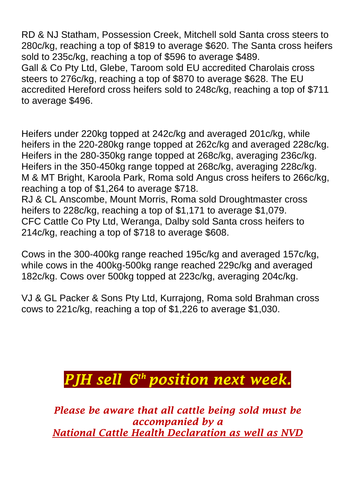RD & NJ Statham, Possession Creek, Mitchell sold Santa cross steers to 280c/kg, reaching a top of \$819 to average \$620. The Santa cross heifers sold to 235c/kg, reaching a top of \$596 to average \$489. Gall & Co Pty Ltd, Glebe, Taroom sold EU accredited Charolais cross steers to 276c/kg, reaching a top of \$870 to average \$628. The EU accredited Hereford cross heifers sold to 248c/kg, reaching a top of \$711 to average \$496.

Heifers under 220kg topped at 242c/kg and averaged 201c/kg, while heifers in the 220-280kg range topped at 262c/kg and averaged 228c/kg. Heifers in the 280-350kg range topped at 268c/kg, averaging 236c/kg. Heifers in the 350-450kg range topped at 268c/kg, averaging 228c/kg. M & MT Bright, Karoola Park, Roma sold Angus cross heifers to 266c/kg, reaching a top of \$1,264 to average \$718.

RJ & CL Anscombe, Mount Morris, Roma sold Droughtmaster cross heifers to 228c/kg, reaching a top of \$1,171 to average \$1,079. CFC Cattle Co Pty Ltd, Weranga, Dalby sold Santa cross heifers to 214c/kg, reaching a top of \$718 to average \$608.

Cows in the 300-400kg range reached 195c/kg and averaged 157c/kg, while cows in the 400kg-500kg range reached 229c/kg and averaged 182c/kg. Cows over 500kg topped at 223c/kg, averaging 204c/kg.

VJ & GL Packer & Sons Pty Ltd, Kurrajong, Roma sold Brahman cross cows to 221c/kg, reaching a top of \$1,226 to average \$1,030.

## *PJH sell 6 th position next week.*

*Please be aware that all cattle being sold must be accompanied by a National Cattle Health Declaration as well as NVD*